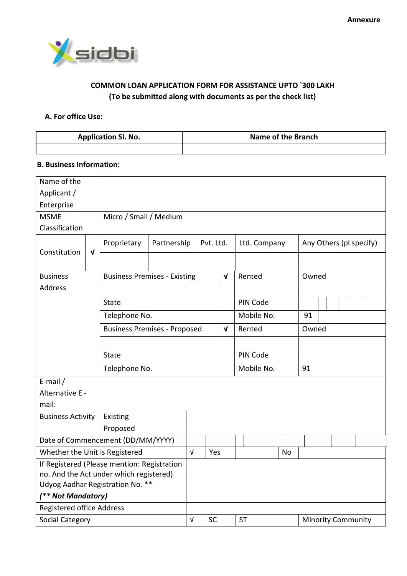

## **COMMON LOAN APPLICATION FORM FOR ASSISTANCE UPTO `300 LAKH (To be submitted along with documents as per the check list)**

## **A. For office Use:**

| <b>Application Sl. No.</b> | Name of the Branch |
|----------------------------|--------------------|
|                            |                    |

### **B. Business Information:**

| Name of the                                 |              |                                     |             |            |            |                 |                                        |            |           |              |  |  |  |                         |  |  |
|---------------------------------------------|--------------|-------------------------------------|-------------|------------|------------|-----------------|----------------------------------------|------------|-----------|--------------|--|--|--|-------------------------|--|--|
| Applicant /                                 |              |                                     |             |            |            |                 |                                        |            |           |              |  |  |  |                         |  |  |
| Enterprise                                  |              |                                     |             |            |            |                 |                                        |            |           |              |  |  |  |                         |  |  |
| <b>MSME</b>                                 |              | Micro / Small / Medium              |             |            |            |                 |                                        |            |           |              |  |  |  |                         |  |  |
| Classification                              |              |                                     |             |            |            |                 |                                        |            |           |              |  |  |  |                         |  |  |
| Constitution                                | $\mathbf{v}$ | Proprietary                         | Partnership |            |            | Pvt. Ltd.       |                                        |            |           | Ltd. Company |  |  |  | Any Others (pl specify) |  |  |
|                                             |              |                                     |             |            |            |                 |                                        |            |           |              |  |  |  |                         |  |  |
| <b>Business</b>                             |              | <b>Business Premises - Existing</b> |             |            |            | $\sqrt{ }$      | Rented                                 |            |           | Owned        |  |  |  |                         |  |  |
| <b>Address</b>                              |              |                                     |             |            |            |                 |                                        |            |           |              |  |  |  |                         |  |  |
|                                             |              | <b>State</b>                        |             |            |            |                 |                                        | PIN Code   |           |              |  |  |  |                         |  |  |
|                                             |              | Telephone No.                       |             |            |            |                 |                                        | Mobile No. |           | 91           |  |  |  |                         |  |  |
| <b>Business Premises - Proposed</b>         |              |                                     |             | $\sqrt{ }$ |            | Rented<br>Owned |                                        |            |           |              |  |  |  |                         |  |  |
|                                             |              |                                     |             |            |            |                 |                                        |            |           |              |  |  |  |                         |  |  |
|                                             |              | State                               |             | PIN Code   |            |                 |                                        |            |           |              |  |  |  |                         |  |  |
|                                             |              | Telephone No.                       |             |            | Mobile No. |                 |                                        |            | 91        |              |  |  |  |                         |  |  |
| E-mail $/$                                  |              |                                     |             |            |            |                 |                                        |            |           |              |  |  |  |                         |  |  |
| Alternative E -                             |              |                                     |             |            |            |                 |                                        |            |           |              |  |  |  |                         |  |  |
| mail:                                       |              |                                     |             |            |            |                 |                                        |            |           |              |  |  |  |                         |  |  |
| <b>Business Activity</b>                    |              | Existing                            |             |            |            |                 |                                        |            |           |              |  |  |  |                         |  |  |
|                                             |              | Proposed                            |             |            |            |                 |                                        |            |           |              |  |  |  |                         |  |  |
|                                             |              | Date of Commencement (DD/MM/YYYY)   |             |            |            |                 |                                        |            |           |              |  |  |  |                         |  |  |
| Whether the Unit is Registered              |              |                                     |             | $\sqrt{ }$ | Yes        |                 |                                        |            | <b>No</b> |              |  |  |  |                         |  |  |
| If Registered (Please mention: Registration |              |                                     |             |            |            |                 |                                        |            |           |              |  |  |  |                         |  |  |
| no. And the Act under which registered)     |              |                                     |             |            |            |                 |                                        |            |           |              |  |  |  |                         |  |  |
|                                             |              | Udyog Aadhar Registration No. **    |             |            |            |                 |                                        |            |           |              |  |  |  |                         |  |  |
| (** Not Mandatory)                          |              |                                     |             |            |            |                 |                                        |            |           |              |  |  |  |                         |  |  |
| <b>Registered office Address</b>            |              |                                     |             |            |            |                 |                                        |            |           |              |  |  |  |                         |  |  |
| Social Category                             |              |                                     |             | V          | <b>SC</b>  |                 | <b>ST</b><br><b>Minority Community</b> |            |           |              |  |  |  |                         |  |  |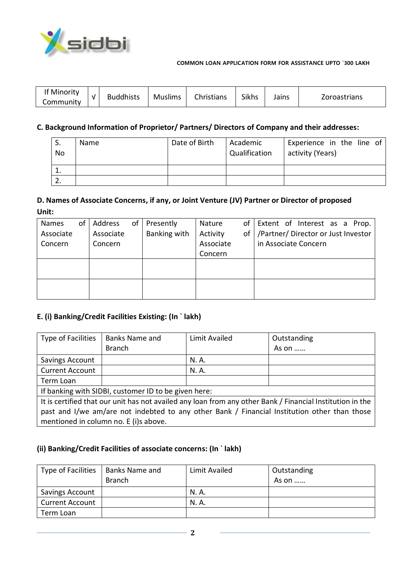

| Sikhs<br>Christians<br><b>Buddhists</b><br><b>Muslims</b><br>Zoroastrians<br>Jains<br>Community | If Minority |  |  |  |  |  |  |  |
|-------------------------------------------------------------------------------------------------|-------------|--|--|--|--|--|--|--|
|-------------------------------------------------------------------------------------------------|-------------|--|--|--|--|--|--|--|

# **C. Background Information of Proprietor/ Partners/ Directors of Company and their addresses:**

| S.<br>No | Name | Date of Birth | Academic<br>Qualification | Experience in the line of<br>activity (Years) |
|----------|------|---------------|---------------------------|-----------------------------------------------|
| 1.       |      |               |                           |                                               |
|          |      |               |                           |                                               |

## **D. Names of Associate Concerns, if any, or Joint Venture (JV) Partner or Director of proposed Unit:**

| <b>Names</b> | of | Address   | of | Presently    | Nature    | of | Extent of Interest as a Prop.       |
|--------------|----|-----------|----|--------------|-----------|----|-------------------------------------|
| Associate    |    | Associate |    | Banking with | Activity  | οf | /Partner/ Director or Just Investor |
| Concern      |    | Concern   |    |              | Associate |    | in Associate Concern                |
|              |    |           |    |              | Concern   |    |                                     |
|              |    |           |    |              |           |    |                                     |
|              |    |           |    |              |           |    |                                     |
|              |    |           |    |              |           |    |                                     |
|              |    |           |    |              |           |    |                                     |

## **E. (i) Banking/Credit Facilities Existing: (In ` lakh)**

| Type of Facilities                                                                           | <b>Banks Name and</b>                                | Limit Availed | Outstanding                                                                                               |  |  |  |  |
|----------------------------------------------------------------------------------------------|------------------------------------------------------|---------------|-----------------------------------------------------------------------------------------------------------|--|--|--|--|
|                                                                                              | <b>Branch</b>                                        |               | As on                                                                                                     |  |  |  |  |
| Savings Account                                                                              |                                                      | N. A.         |                                                                                                           |  |  |  |  |
| <b>Current Account</b>                                                                       |                                                      | N. A.         |                                                                                                           |  |  |  |  |
| Term Loan                                                                                    |                                                      |               |                                                                                                           |  |  |  |  |
|                                                                                              | If banking with SIDBI, customer ID to be given here: |               |                                                                                                           |  |  |  |  |
|                                                                                              |                                                      |               | It is certified that our unit has not availed any loan from any other Bank / Financial Institution in the |  |  |  |  |
| past and I/we am/are not indebted to any other Bank / Financial Institution other than those |                                                      |               |                                                                                                           |  |  |  |  |
|                                                                                              | mentioned in column no. E (i)s above.                |               |                                                                                                           |  |  |  |  |

# **(ii) Banking/Credit Facilities of associate concerns: (In ` lakh)**

| Type of Facilities     | Banks Name and | Limit Availed | Outstanding |
|------------------------|----------------|---------------|-------------|
|                        | <b>Branch</b>  |               | As on       |
| Savings Account        |                | N. A.         |             |
| <b>Current Account</b> |                | N. A.         |             |
| Term Loan              |                |               |             |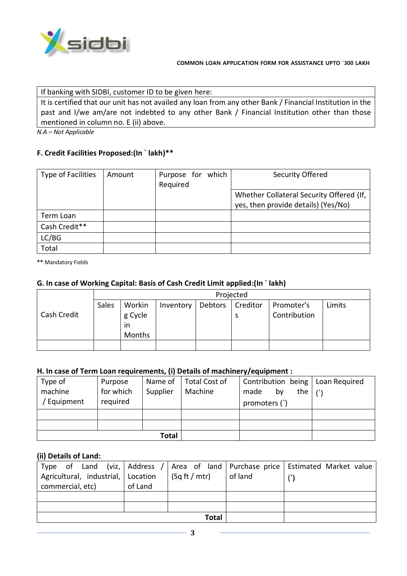

If banking with SIDBI, customer ID to be given here:

It is certified that our unit has not availed any loan from any other Bank / Financial Institution in the past and I/we am/are not indebted to any other Bank / Financial Institution other than those mentioned in column no. E (ii) above.

*N.A – Not Applicable*

## **F. Credit Facilities Proposed:(In ` lakh)\*\***

| Type of Facilities | Amount | Purpose for which<br>Required | Security Offered                         |
|--------------------|--------|-------------------------------|------------------------------------------|
|                    |        |                               | Whether Collateral Security Offered (If, |
|                    |        |                               | yes, then provide details) (Yes/No)      |
| Term Loan          |        |                               |                                          |
| Cash Credit**      |        |                               |                                          |
| LC/BG              |        |                               |                                          |
| Total              |        |                               |                                          |

**\*\*** Mandatory Fields

### **G. In case of Working Capital: Basis of Cash Credit Limit applied:(In ` lakh)**

|             | Projected |               |           |         |          |              |        |  |
|-------------|-----------|---------------|-----------|---------|----------|--------------|--------|--|
|             | Sales     | Workin        | Inventory | Debtors | Creditor | Promoter's   | Limits |  |
| Cash Credit |           | g Cycle<br>ın |           |         |          | Contribution |        |  |
|             |           | Months        |           |         |          |              |        |  |
|             |           |               |           |         |          |              |        |  |

### **H. In case of Term Loan requirements, (i) Details of machinery/equipment :**

| Type of     | Purpose   | Name of      | <b>Total Cost of</b> | Contribution being   Loan Required     |  |
|-------------|-----------|--------------|----------------------|----------------------------------------|--|
| machine     | for which | Supplier     | Machine              | the $\mid \cdot \rangle$<br>by<br>made |  |
| / Equipment | required  |              |                      | promoters (`)                          |  |
|             |           |              |                      |                                        |  |
|             |           |              |                      |                                        |  |
|             |           | <b>Total</b> |                      |                                        |  |

### **(ii) Details of Land:**

| Agricultural, industrial, Location<br>commercial, etc) | of Land | $\sqrt{\frac{5q}{t}}$ (Sq ft / mtr) | of land | Type of Land (viz, Address / Area of land Purchase price Estimated Market value |
|--------------------------------------------------------|---------|-------------------------------------|---------|---------------------------------------------------------------------------------|
|                                                        |         |                                     |         |                                                                                 |
|                                                        |         |                                     |         |                                                                                 |
|                                                        |         | Total                               |         |                                                                                 |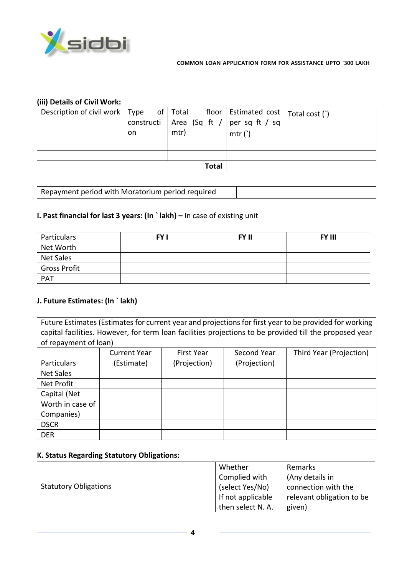

## **(iii) Details of Civil Work:**

| Description of civil work   Type of   Total floor   Estimated cost   Total cost (`) |           |                                             |       |  |
|-------------------------------------------------------------------------------------|-----------|---------------------------------------------|-------|--|
|                                                                                     |           | constructi   Area (Sq ft /   per sq ft / sq |       |  |
|                                                                                     | <b>on</b> | mtr)                                        | mtr() |  |
|                                                                                     |           |                                             |       |  |
|                                                                                     |           |                                             |       |  |
|                                                                                     |           | Total                                       |       |  |

Repayment period with Moratorium period required

### **I. Past financial for last 3 years: (In ` lakh) –** In case of existing unit

| Particulars         | <b>FY I</b> | FY II | <b>FY III</b> |
|---------------------|-------------|-------|---------------|
| Net Worth           |             |       |               |
| <b>Net Sales</b>    |             |       |               |
| <b>Gross Profit</b> |             |       |               |
| PAT                 |             |       |               |

### **J. Future Estimates: (In ` lakh)**

Future Estimates (Estimates for current year and projections for first year to be provided for working capital facilities. However, for term loan facilities projections to be provided till the proposed year of repayment of loan)

|                  | <b>Current Year</b> | <b>First Year</b> | Second Year  | Third Year (Projection) |
|------------------|---------------------|-------------------|--------------|-------------------------|
| Particulars      | (Estimate)          | (Projection)      | (Projection) |                         |
| Net Sales        |                     |                   |              |                         |
| Net Profit       |                     |                   |              |                         |
| Capital (Net     |                     |                   |              |                         |
| Worth in case of |                     |                   |              |                         |
| Companies)       |                     |                   |              |                         |
| <b>DSCR</b>      |                     |                   |              |                         |
| <b>DER</b>       |                     |                   |              |                         |

#### **K. Status Regarding Statutory Obligations:**

|                              | Whether           | Remarks                   |
|------------------------------|-------------------|---------------------------|
|                              | Complied with     | (Any details in           |
| <b>Statutory Obligations</b> | (select Yes/No)   | connection with the       |
|                              | If not applicable | relevant obligation to be |
|                              | then select N. A. | given)                    |